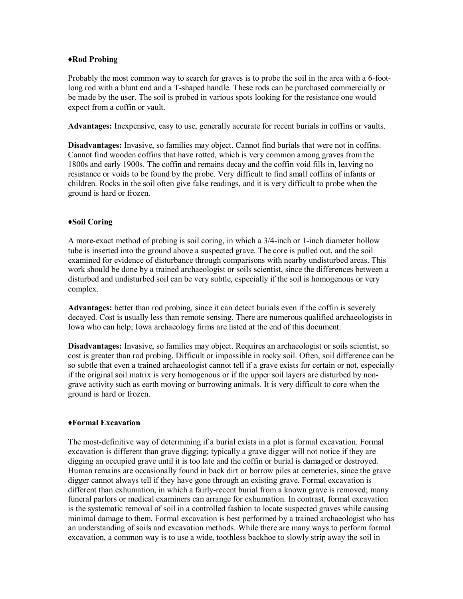## **♦Rod Probing**

Probably the most common way to search for graves is to probe the soil in the area with a 6-footlong rod with a blunt end and a T-shaped handle. These rods can be purchased commercially or be made by the user. The soil is probed in various spots looking for the resistance one would expect from a coffin or vault.

**Advantages:** Inexpensive, easy to use, generally accurate for recent burials in coffins or vaults.

**Disadvantages:** Invasive, so families may object. Cannot find burials that were not in coffins. Cannot find wooden coffins that have rotted, which is very common among graves from the 1800s and early 1900s. The coffin and remains decay and the coffin void fills in, leaving no resistance or voids to be found by the probe. Very difficult to find small coffins of infants or children. Rocks in the soil often give false readings, and it is very difficult to probe when the ground is hard or frozen.

## **♦Soil Coring**

A more-exact method of probing is soil coring, in which a 3/4-inch or 1-inch diameter hollow tube is inserted into the ground above a suspected grave. The core is pulled out, and the soil examined for evidence of disturbance through comparisons with nearby undisturbed areas. This work should be done by a trained archaeologist or soils scientist, since the differences between a disturbed and undisturbed soil can be very subtle, especially if the soil is homogenous or very complex.

**Advantages:** better than rod probing, since it can detect burials even if the coffin is severely decayed. Cost is usually less than remote sensing. There are numerous qualified archaeologists in Iowa who can help; Iowa archaeology firms are listed at the end of this document.

**Disadvantages:** Invasive, so families may object. Requires an archaeologist or soils scientist, so cost is greater than rod probing. Difficult or impossible in rocky soil. Often, soil difference can be so subtle that even a trained archaeologist cannot tell if a grave exists for certain or not, especially if the original soil matrix is very homogenous or if the upper soil layers are disturbed by nongrave activity such as earth moving or burrowing animals. It is very difficult to core when the ground is hard or frozen.

#### **♦Formal Excavation**

The most-definitive way of determining if a burial exists in a plot is formal excavation. Formal excavation is different than grave digging; typically a grave digger will not notice if they are digging an occupied grave until it is too late and the coffin or burial is damaged or destroyed. Human remains are occasionally found in back dirt or borrow piles at cemeteries, since the grave digger cannot always tell if they have gone through an existing grave. Formal excavation is different than exhumation, in which a fairly-recent burial from a known grave is removed; many funeral parlors or medical examiners can arrange for exhumation. In contrast, formal excavation is the systematic removal of soil in a controlled fashion to locate suspected graves while causing minimal damage to them. Formal excavation is best performed by a trained archaeologist who has an understanding of soils and excavation methods. While there are many ways to perform formal excavation, a common way is to use a wide, toothless backhoe to slowly strip away the soil in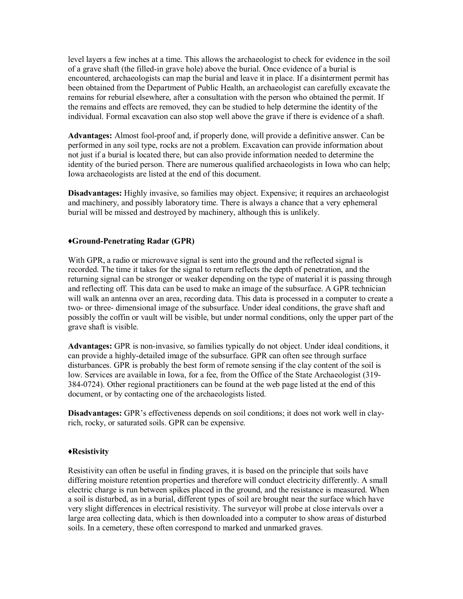level layers a few inches at a time. This allows the archaeologist to check for evidence in the soil of a grave shaft (the filled-in grave hole) above the burial. Once evidence of a burial is encountered, archaeologists can map the burial and leave it in place. If a disinterment permit has been obtained from the Department of Public Health (and the State Archaeologist if the interment is over 150 years old), an archaeologist can carefully excavate the remains for reburial elsewhere, after a consultation with the person who obtained the permit. If the remains and effects are removed, they can be studied to help determine the identity of the individual. Formal excavation can also stop well above the grave if there is evidence of a shaft.

**Advantages:** Almost fool-proof and, if properly done, will provide a definitive answer. Can be performed in any soil type, rocks are not a problem. Excavation can provide information about not just if a burial is located there, but can also provide information needed to determine the identity of the buried person. There are numerous qualified archaeologists in Iowa who can help; Iowa archaeologists are listed at the end of this document.

**Disadvantages:** Highly invasive, so families may object. Expensive; it requires an archaeologist and machinery, and possibly laboratory time. There is always a chance that a very ephemeral burial will be missed and destroyed by machinery, although this is unlikely.

## **♦Ground-Penetrating Radar (GPR)**

With GPR, a radio or microwave signal is sent into the ground and the reflected signal is recorded. The time it takes for the signal to return reflects the depth of penetration, and the returning signal can be stronger or weaker depending on the type of material it is passing through and reflecting off. This data can be used to make an image of the subsurface. A GPR technician will walk an antenna over an area, recording data. This data is processed in a computer to create a two- or three- dimensional image of the subsurface. Under ideal conditions, the grave shaft and possibly the coffin or vault will be visible, but under normal conditions, only the upper part of the grave shaft is visible.

**Advantages:** GPR is non-invasive, so families typically do not object. Under ideal conditions, it can provide a highly-detailed image of the subsurface. GPR can often see through surface disturbances. GPR is probably the best form of remote sensing if the clay content of the soil is low. Services are available in Iowa, for a fee, from the Office of the State Archaeologist (319- 384-0724). Other regional practitioners can be found at the web page listed at the end of this document, or by contacting one of the archaeologists listed.

**Disadvantages:** GPR's effectiveness depends on soil conditions; it does not work well in clayrich, rocky, or saturated soils. GPR can be expensive and may not provide definitive results; some form of ground truthing may be necessary.

## **♦Resistivity**

Resistivity can often be useful in finding graves, it is based on the principle that soils have differing moisture retention properties and therefore will conduct electricity differently. A small electric charge is run between spikes placed in the ground, and the resistance is measured. When a soil is disturbed, as in a burial, different types of soil are brought near the surface which have very slight differences in electrical resistivity. The surveyor will probe at close intervals over a large area collecting data, which is then downloaded into a computer to show areas of disturbed soils. In a cemetery, these often correspond to marked and unmarked graves.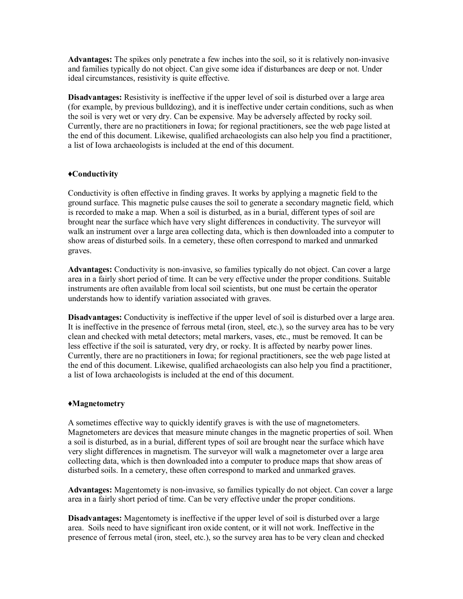**Advantages:** The spikes only penetrate a few inches into the soil, so it is relatively non-invasive and families typically do not object. Can give some idea if disturbances are deep or not. Under ideal circumstances, resistivity is quite effective.

**Disadvantages:** Resistivity is ineffective if the upper level of soil is disturbed over a large area (for example, by previous bulldozing), and it is ineffective under certain conditions, such as when the soil is very wet or very dry. Can be expensive. May be adversely affected by rocky soil.

## **♦Conductivity**

Conductivity is often effective in finding graves. It works by applying a magnetic field to the ground surface. This magnetic pulse causes the soil to generate a secondary magnetic field, which is recorded to make a map. When a soil is disturbed, as in a burial, different types of soil are brought near the surface which have very slight differences in conductivity. The surveyor will walk an instrument over a large area collecting data, which is then downloaded into a computer to show areas of disturbed soils. In a cemetery, these often correspond to marked and unmarked graves.

**Advantages:** Conductivity is non-invasive, so families typically do not object. Can cover a large area in a fairly short period of time. It can be very effective under the proper conditions. Suitable instruments are often available from local soil scientists, but one must be certain the operator understands how to identify variation associated with graves.

**Disadvantages:** Conductivity is ineffective if the upper level of soil is disturbed over a large area. It is ineffective in the presence of ferrous metal (iron, steel, etc.), so the survey area has to be very clean and checked with metal detectors; metal markers, vases, etc., must be removed. It can be less effective if the soil is saturated, very dry, or rocky. It is affected by nearby power lines. Currently, there are no practitioners in Iowa; for regional practitioners, see the web page listed at the end of this document. Likewise, qualified archaeologists can also help you find a practitioner, a list of Iowa archaeologists is included at the end of this document.

#### **♦Magnetometry**

A sometimes effective way to quickly identify graves is with the use of magnetometers. Magnetometers are devices that measure minute changes in the magnetic properties of soil. When a soil is disturbed, as in a burial, different types of soil are brought near the surface which have very slight differences in magnetism. The surveyor will walk a magnetometer over a large area collecting data, which is then downloaded into a computer to produce maps that show areas of disturbed soils. In a cemetery, these often correspond to marked and unmarked graves.

**Advantages:** Magnetometry is non-invasive, so families typically do not object. Can cover a large area in a fairly short period of time. Can be very effective under the proper conditions.

**Disadvantages:** Magnetometry is ineffective if the upper level of soil is disturbed over a large area. Soils need to have significant iron oxide content, or it will not work. Ineffective in the presence of ferrous metal (iron, steel, etc.), so the survey area has to be very clean and checked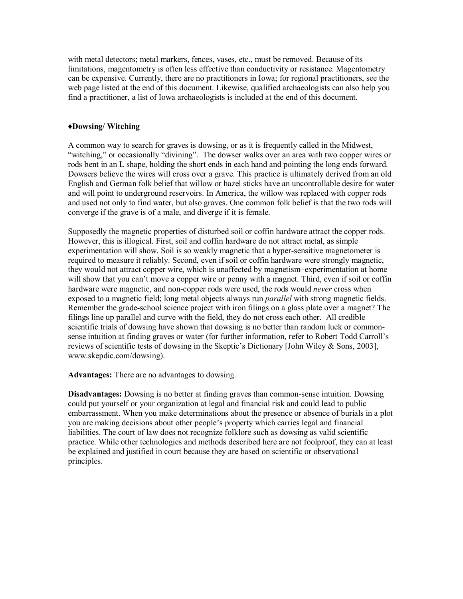with metal detectors; metal markers, fences, vases, etc., must be removed. Because of its limitations, magnetometry is often less effective than conductivity or resistance. Magnetometry can be expensive.

## **♦Dowsing/ Witching**

A common way to search for graves is dowsing, or as it is frequently called in the Midwest, "witching," or occasionally "divining". The dowser walks over an area with two copper wires or rods bent in an L shape, holding the short ends in each hand and pointing the long ends forward. Dowsers believe the wires will cross over a grave. This practice is ultimately derived from an old English and German folk belief that willow or hazel sticks have an uncontrollable desire for water and will point to underground reservoirs. In America, the willow was replaced with copper rods and used not only to find water, but also graves. One common folk belief is that the two rods will converge if the grave is of a male, and diverge if it is female.

Supposedly the magnetic properties of disturbed soil or coffin hardware attract the copper rods. However, this is illogical. First, soil and coffin hardware do not attract metal, as simple experimentation will show. Soil is so weakly magnetic that a hyper-sensitive magnetometer is required to measure it reliably. Second, even if soil or coffin hardware were strongly magnetic, they would not attract copper wire, which is unaffected by magnetism–experimentation at home will show that you can't move a copper wire or penny with a magnet. Third, even if soil or coffin hardware were magnetic, and non-copper rods were used, the rods would *never* cross when exposed to a magnetic field; long metal objects always run *parallel* with strong magnetic fields. Remember the grade-school science project with iron filings on a glass plate over a magnet? The filings line up parallel and curve with the field, they do not cross each other. All credible scientific trials of dowsing have shown that dowsing is no better than random luck or commonsense intuition at finding graves or water (for further information, refer to Robert Todd Carroll's reviews of scientific tests of dowsing in the Skeptic's Dictionary [John Wiley  $\&$  Sons, 2003], www.skepdic.com/dowsing).

**Advantages:** There are no advantages to dowsing.

**Disadvantages:** Dowsing is no better at finding graves than common-sense intuition. Dowsing could put yourself or your organization at legal and financial risk and could lead to public embarrassment. When you make determinations about the presence or absence of burials in a plot you are making decisions about other people's property which carries legal and financial liabilities. The court of law does not recognize folklore such as dowsing as valid scientific practice. While other technologies and methods described here are not foolproof, they can at least be explained and justified in court because they are based on scientific or observational principles.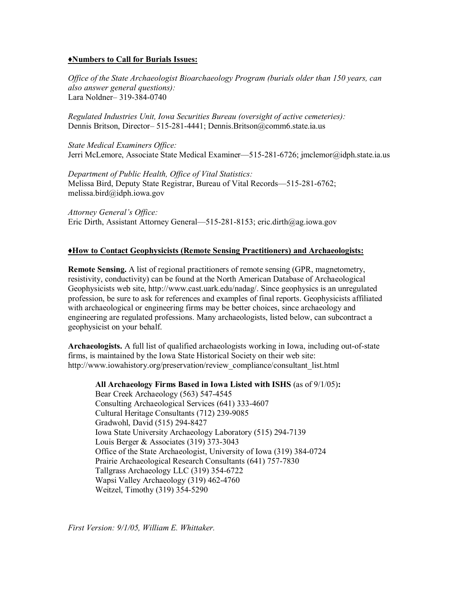## **♦Contacts for Burials Issues:**

*Office of the State Archaeologist Bioarchaeology Program (burials older than 150 years, can also answer general questions):*  Lara Noldner– 319-384-0740

*Regulated Industries Unit, Iowa Securities Bureau (oversight of active cemeteries):* Dennis Britson, Director– Dennis.Britson@iid.iowa.gov 515-2815705

*State Medical Examiners Office:* Dennis Klein, State Medical Examiner - dennis.klein@idph.iowa.gov 515-725-1400 Walker Hodges - walker.hodges@idph.iowa.gov 515-745-0580

*Department of Public Health, Office of Vital Statistics:*  Melissa Bird, Deputy State Registrar, Bureau of Vital Records - melissa.bird@idph.iowa.gov 515-281-6762

*Attorney General's Office:*  Eric Dirth, Assistant Attorney General— eric.dirth@ag.iowa.gov 515-281-8153

## **♦How to Contact Geophysicists (Remote Sensing Practitioners) and Archaeologists:**

**Remote Sensing.** A list of regional practitioners of remote sensing (GPR, magnetometry, resistivity, conductivity) can be found at the North American Database of Archaeological Geophysicists web site, http://www.cast.uark.edu/nadag/. Since geophysics is an unregulated profession, be sure to ask for references and examples of final reports. Geophysicists affiliated with archaeological or engineering firms may be better choices, since archaeology and engineering are regulated professions. Many archaeologists, listed below, can subcontract a geophysicist on your behalf.

**Archaeologists.** A full list of qualified archaeologists working in Iowa, including out-of-state firms, is maintained by the Iowa State Historical Society on their web site: http://www.iowahistory.org/preservation/review\_compliance/consultant\_list.html

# **All Archaeology Firms Based in Iowa Listed with \$VRFLDWLRQRI** RD\$FNHRORLW\as of )HEUNU\:

Bear Creek Archaeology (563) 547-4545 Consulting Archaeological Services (515) 494-1695 Cultural Heritage Consultants (712) 239-9085 Impact 7G (515) 473-6256 Iowa State University Archaeology Laboratory (515) 294-7139 The Louis Berger Group (816) 559-3827 Midwest Archaeological Consultants (920) 559-1929, (515) 333-1893 Office of the State Archaeologist, University of Iowa (319) 384-0724 Prairie Archaeological Research Consultants (641) 757-7830 Quality Services (605) 858-0672 Tallgrass Archaeology LLC (319) 354-6722 Wapsi Valley Archaeology (319) 462-4760

#### **Geophysicists:**

Quinn Black - Sanford Museum (712) 225-3922 Colin Betts - Luther College (563) 387-1284 Glenn Storey - University of Iowa (319) 335-1866

*First Version: 9/1/05, William E. Whittaker Updated 2//2022, Lara Noldner*